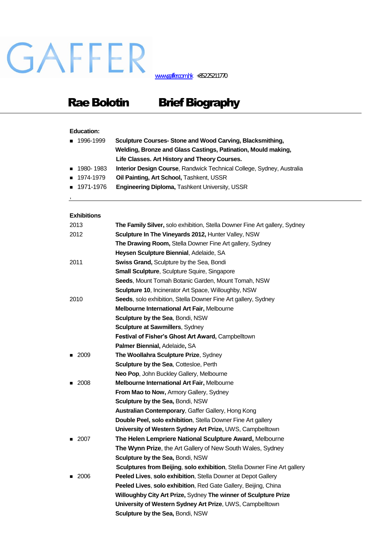# GAFFER

[www.gaffer.com.hk](http://www.gaffer.com.hk/) +85225211770

## Rae Bolotin Brief Biography

### **Education:**

| ■ 1996-1999 | Sculpture Courses-Stone and Wood Carving, Blacksmithing,              |
|-------------|-----------------------------------------------------------------------|
|             | Welding, Bronze and Glass Castings, Patination, Mould making,         |
|             | Life Classes. Art History and Theory Courses.                         |
| ■ 1980-1983 | Interior Design Course, Randwick Technical College, Sydney, Australia |
| ■ 1974-1979 | <b>Oil Painting, Art School, Tashkent, USSR</b>                       |
| ■ 1971-1976 | <b>Engineering Diploma, Tashkent University, USSR</b>                 |

#### **Exhibitions**

,

| 2013   | The Family Silver, solo exhibition, Stella Downer Fine Art gallery, Sydney |
|--------|----------------------------------------------------------------------------|
| 2012   | Sculpture In The Vineyards 2012, Hunter Valley, NSW                        |
|        | The Drawing Room, Stella Downer Fine Art gallery, Sydney                   |
|        | Heysen Sculpture Biennial, Adelaide, SA                                    |
| 2011   | Swiss Grand, Sculpture by the Sea, Bondi                                   |
|        | <b>Small Sculpture, Sculpture Squire, Singapore</b>                        |
|        | Seeds, Mount Tomah Botanic Garden, Mount Tomah, NSW                        |
|        | <b>Sculpture 10, Incinerator Art Space, Willoughby, NSW</b>                |
| 2010   | Seeds, solo exhibition, Stella Downer Fine Art gallery, Sydney             |
|        | Melbourne International Art Fair, Melbourne                                |
|        | Sculpture by the Sea, Bondi, NSW                                           |
|        | Sculpture at Sawmillers, Sydney                                            |
|        | Festival of Fisher's Ghost Art Award, Campbelltown                         |
|        | Palmer Biennial, Adelaide, SA                                              |
| ■ 2009 | The Woollahra Sculpture Prize, Sydney                                      |
|        | Sculpture by the Sea, Cottesloe, Perth                                     |
|        | Neo Pop, John Buckley Gallery, Melbourne                                   |
| 2008   | Melbourne International Art Fair, Melbourne                                |
|        | From Mao to Now, Armory Gallery, Sydney                                    |
|        | <b>Sculpture by the Sea, Bondi, NSW</b>                                    |
|        | <b>Australian Contemporary, Gaffer Gallery, Hong Kong</b>                  |
|        | Double Peel, solo exhibition, Stella Downer Fine Art gallery               |
|        | University of Western Sydney Art Prize, UWS, Campbelltown                  |
| 2007   | The Helen Lempriere National Sculpture Award, Melbourne                    |
|        | The Wynn Prize, the Art Gallery of New South Wales, Sydney                 |
|        | Sculpture by the Sea, Bondi, NSW                                           |
|        | Sculptures from Beijing, solo exhibition, Stella Downer Fine Art gallery   |
| 2006   | Peeled Lives, solo exhibition, Stella Downer at Depot Gallery              |
|        | Peeled Lives, solo exhibition, Red Gate Gallery, Beijing, China            |
|        | Willoughby City Art Prize, Sydney The winner of Sculpture Prize            |
|        | University of Western Sydney Art Prize, UWS, Campbelltown                  |
|        | Sculpture by the Sea, Bondi, NSW                                           |
|        |                                                                            |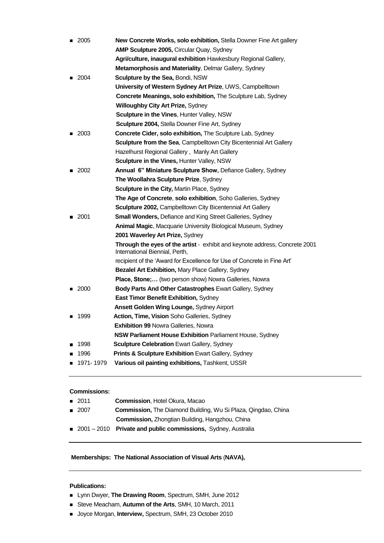| - 2005              | New Concrete Works, solo exhibition, Stella Downer Fine Art gallery                                           |
|---------------------|---------------------------------------------------------------------------------------------------------------|
|                     | AMP Sculpture 2005, Circular Quay, Sydney                                                                     |
|                     | Agri/culture, inaugural exhibition Hawkesbury Regional Gallery,                                               |
|                     | Metamorphosis and Materiality, Delmar Gallery, Sydney                                                         |
| $\blacksquare$ 2004 | Sculpture by the Sea, Bondi, NSW                                                                              |
|                     | University of Western Sydney Art Prize, UWS, Campbelltown                                                     |
|                     | Concrete Meanings, solo exhibition, The Sculpture Lab, Sydney                                                 |
|                     | <b>Willoughby City Art Prize, Sydney</b>                                                                      |
|                     | Sculpture in the Vines, Hunter Valley, NSW                                                                    |
|                     | <b>Sculpture 2004,</b> Stella Downer Fine Art, Sydney                                                         |
| 2003<br>▬           | Concrete Cider, solo exhibition, The Sculpture Lab, Sydney                                                    |
|                     | Sculpture from the Sea, Campbelltown City Bicentennial Art Gallery                                            |
|                     | Hazelhurst Regional Gallery, Manly Art Gallery                                                                |
|                     | Sculpture in the Vines, Hunter Valley, NSW                                                                    |
| 2002                | Annual 6" Miniature Sculpture Show, Defiance Gallery, Sydney                                                  |
|                     | The Woollahra Sculpture Prize, Sydney                                                                         |
|                     | Sculpture in the City, Martin Place, Sydney                                                                   |
|                     | The Age of Concrete, solo exhibition, Soho Galleries, Sydney                                                  |
|                     | <b>Sculpture 2002, Campbelltown City Bicentennial Art Gallery</b>                                             |
| 2001                | Small Wonders, Defiance and King Street Galleries, Sydney                                                     |
|                     | Animal Magic, Macquarie University Biological Museum, Sydney                                                  |
|                     | 2001 Waverley Art Prize, Sydney                                                                               |
|                     | Through the eyes of the artist - exhibit and keynote address, Concrete 2001<br>International Biennial, Perth, |
|                     | recipient of the 'Award for Excellence for Use of Concrete in Fine Art'                                       |
|                     | Bezalel Art Exhibition, Mary Place Gallery, Sydney                                                            |
|                     | Place, Stone; (two person show) Nowra Galleries, Nowra                                                        |
| 2000                | <b>Body Parts And Other Catastrophes Ewart Gallery, Sydney</b>                                                |
|                     | East Timor Benefit Exhibition, Sydney                                                                         |
|                     | <b>Ansett Golden Wing Lounge, Sydney Airport</b>                                                              |
| 1999                | Action, Time, Vision Soho Galleries, Sydney                                                                   |
|                     | <b>Exhibition 99 Nowra Galleries, Nowra</b>                                                                   |
|                     | <b>NSW Parliament House Exhibition Parliament House, Sydney</b>                                               |
| 1998                | Sculpture Celebration Ewart Gallery, Sydney                                                                   |
| 1996<br>■           | Prints & Sculpture Exhibition Ewart Gallery, Sydney                                                           |
| 1971-1979           | Various oil painting exhibitions, Tashkent, USSR                                                              |

#### **Commissions:**

| $\blacksquare$ 2011 | <b>Commission.</b> Hotel Okura, Macao                                |
|---------------------|----------------------------------------------------------------------|
| $\blacksquare$ 2007 | <b>Commission, The Diamond Building, Wu Si Plaza, Qingdao, China</b> |
|                     | <b>Commission, Zhongtian Building, Hangzhou, China</b>               |
|                     | ■ 2001 - 2010 Private and public commissions, Sydney, Australia      |

#### **Memberships: The National Association of Visual Arts** (**NAVA),**

#### **Publications:**

- Lynn Dwyer, **The Drawing Room**, Spectrum, SMH, June 2012
- Steve Meacham, **Autumn of the Arts**, SMH, 10 March, 2011
- Joyce Morgan, **Interview,** Spectrum, SMH, 23 October 2010